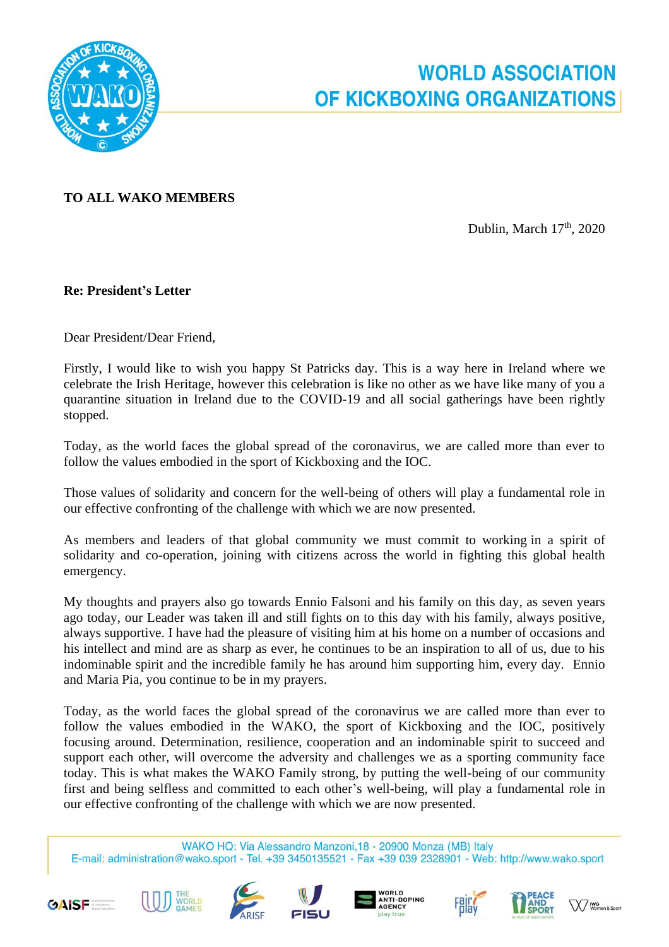

## **TO ALL WAKO MEMBERS**

Dublin, March 17<sup>th</sup>, 2020

## **Re: President's Letter**

Dear President/Dear Friend,

Firstly, I would like to wish you happy St Patricks day. This is a way here in Ireland where we celebrate the Irish Heritage, however this celebration is like no other as we have like many of you a quarantine situation in Ireland due to the COVID-19 and all social gatherings have been rightly stopped.

Today, as the world faces the global spread of the coronavirus, we are called more than ever to follow the values embodied in the sport of Kickboxing and the IOC.

Those values of solidarity and concern for the well-being of others will play a fundamental role in our effective confronting of the challenge with which we are now presented.

As members and leaders of that global community we must commit to working in a spirit of solidarity and co-operation, joining with citizens across the world in fighting this global health emergency.

My thoughts and prayers also go towards Ennio Falsoni and his family on this day, as seven years ago today, our Leader was taken ill and still fights on to this day with his family, always positive, always supportive. I have had the pleasure of visiting him at his home on a number of occasions and his intellect and mind are as sharp as ever, he continues to be an inspiration to all of us, due to his indominable spirit and the incredible family he has around him supporting him, every day. Ennio and Maria Pia, you continue to be in my prayers.

Today, as the world faces the global spread of the coronavirus we are called more than ever to follow the values embodied in the WAKO, the sport of Kickboxing and the IOC, positively focusing around. Determination, resilience, cooperation and an indominable spirit to succeed and support each other, will overcome the adversity and challenges we as a sporting community face today. This is what makes the WAKO Family strong, by putting the well-being of our community first and being selfless and committed to each other's well-being, will play a fundamental role in our effective confronting of the challenge with which we are now presented.

WAKO HQ: Via Alessandro Manzoni, 18 - 20900 Monza (MB) Italy E-mail: administration@wako.sport - Tel. +39 3450135521 - Fax +39 039 2328901 - Web: http://www.wako.sport